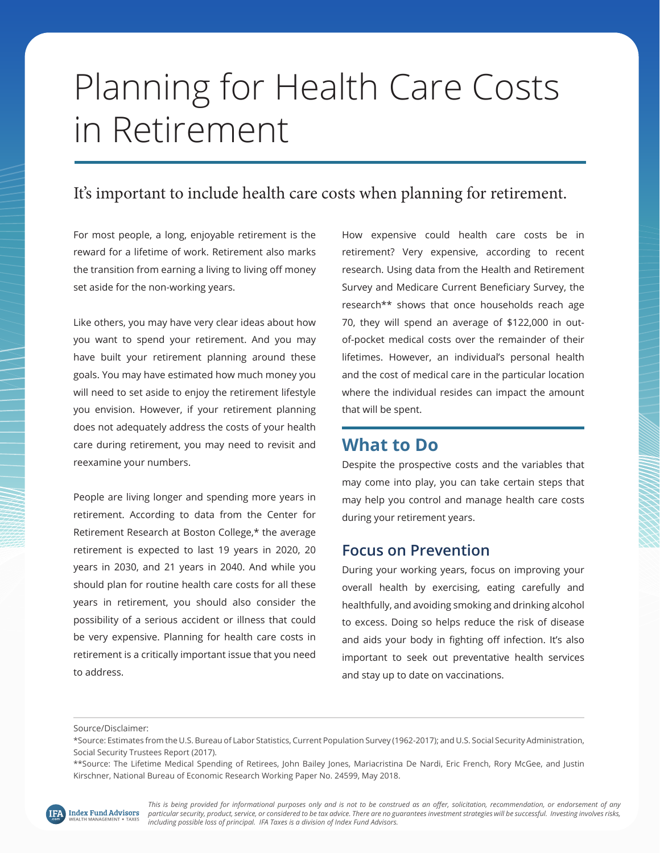# Planning for Health Care Costs in Retirement

# It's important to include health care costs when planning for retirement.

For most people, a long, enjoyable retirement is the reward for a lifetime of work. Retirement also marks the transition from earning a living to living off money set aside for the non-working years.

Like others, you may have very clear ideas about how you want to spend your retirement. And you may have built your retirement planning around these goals. You may have estimated how much money you will need to set aside to enjoy the retirement lifestyle you envision. However, if your retirement planning does not adequately address the costs of your health care during retirement, you may need to revisit and reexamine your numbers.

People are living longer and spending more years in retirement. According to data from the Center for Retirement Research at Boston College,\* the average retirement is expected to last 19 years in 2020, 20 years in 2030, and 21 years in 2040. And while you should plan for routine health care costs for all these years in retirement, you should also consider the possibility of a serious accident or illness that could be very expensive. Planning for health care costs in retirement is a critically important issue that you need to address.

How expensive could health care costs be in retirement? Very expensive, according to recent research. Using data from the Health and Retirement Survey and Medicare Current Beneficiary Survey, the research\*\* shows that once households reach age 70, they will spend an average of \$122,000 in outof-pocket medical costs over the remainder of their lifetimes. However, an individual's personal health and the cost of medical care in the particular location where the individual resides can impact the amount that will be spent.

## **What to Do**

Despite the prospective costs and the variables that may come into play, you can take certain steps that may help you control and manage health care costs during your retirement years.

### **Focus on Prevention**

During your working years, focus on improving your overall health by exercising, eating carefully and healthfully, and avoiding smoking and drinking alcohol to excess. Doing so helps reduce the risk of disease and aids your body in fighting off infection. It's also important to seek out preventative health services and stay up to date on vaccinations.

Source/Disclaimer:

*This is being provided for informational purposes only and is not to be construed as an offer, solicitation, recommendation, or endorsement of any particular security, product, service, or considered to be tax advice. There are no guarantees investment strategies will be successful. Investing involves risks, including possible loss of principal. IFA Taxes is a division of Index Fund Advisors.* 

<sup>\*</sup>Source: Estimates from the U.S. Bureau of Labor Statistics, Current Population Survey (1962-2017); and U.S. Social Security Administration, Social Security Trustees Report (2017).

<sup>\*\*</sup>Source: The Lifetime Medical Spending of Retirees, John Bailey Jones, Mariacristina De Nardi, Eric French, Rory McGee, and Justin Kirschner, National Bureau of Economic Research Working Paper No. 24599, May 2018.